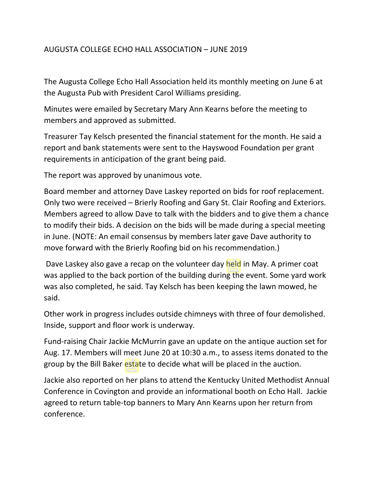## AUGUSTA COLLEGE ECHO HALL ASSOCIATION – JUNE 2019

The Augusta College Echo Hall Association held its monthly meeting on June 6 at the Augusta Pub with President Carol Williams presiding.

Minutes were emailed by Secretary Mary Ann Kearns before the meeting to members and approved as submitted.

Treasurer Tay Kelsch presented the financial statement for the month. He said a report and bank statements were sent to the Hayswood Foundation per grant requirements in anticipation of the grant being paid.

The report was approved by unanimous vote.

Board member and attorney Dave Laskey reported on bids for roof replacement. Only two were received – Brierly Roofing and Gary St. Clair Roofing and Exteriors. Members agreed to allow Dave to talk with the bidders and to give them a chance to modify their bids. A decision on the bids will be made during a special meeting in June. (NOTE: An email consensus by members later gave Dave authority to move forward with the Brierly Roofing bid on his recommendation.)

Dave Laskey also gave a recap on the volunteer day held in May. A primer coat was applied to the back portion of the building during the event. Some yard work was also completed, he said. Tay Kelsch has been keeping the lawn mowed, he said.

Other work in progress includes outside chimneys with three of four demolished. Inside, support and floor work is underway.

Fund-raising Chair Jackie McMurrin gave an update on the antique auction set for Aug. 17. Members will meet June 20 at 10:30 a.m., to assess items donated to the group by the Bill Baker estate to decide what will be placed in the auction.

Jackie also reported on her plans to attend the Kentucky United Methodist Annual Conference in Covington and provide an informational booth on Echo Hall. Jackie agreed to return table-top banners to Mary Ann Kearns upon her return from conference.